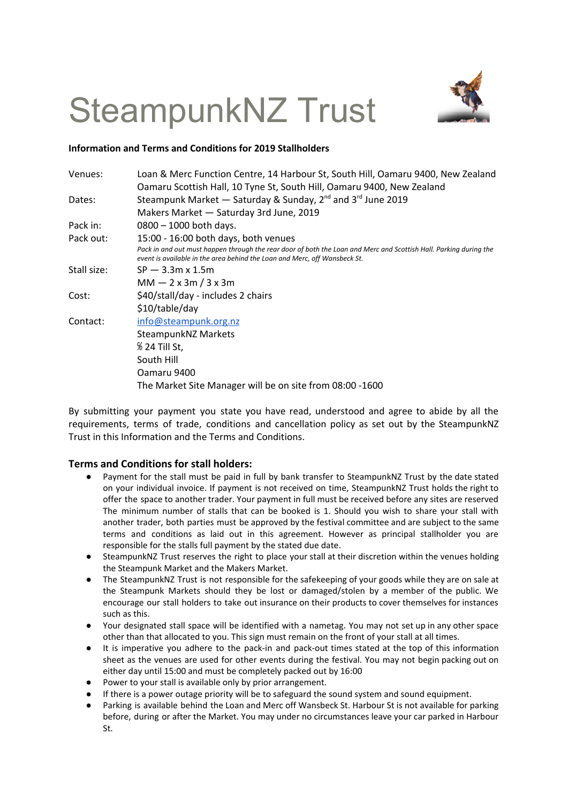## SteampunkNZ Trust



## **Information and Terms and Conditions for 2019 Stallholders**

| Venues:     | Loan & Merc Function Centre, 14 Harbour St, South Hill, Oamaru 9400, New Zealand                                                                                                               |
|-------------|------------------------------------------------------------------------------------------------------------------------------------------------------------------------------------------------|
|             | Oamaru Scottish Hall, 10 Tyne St, South Hill, Oamaru 9400, New Zealand                                                                                                                         |
| Dates:      | Steampunk Market - Saturday & Sunday, $2^{nd}$ and $3^{rd}$ June 2019                                                                                                                          |
|             | Makers Market - Saturday 3rd June, 2019                                                                                                                                                        |
| Pack in:    | $0800 - 1000$ both days.                                                                                                                                                                       |
| Pack out:   | 15:00 - 16:00 both days, both venues                                                                                                                                                           |
|             | Pack in and out must happen through the rear door of both the Loan and Merc and Scottish Hall. Parking during the<br>event is available in the area behind the Loan and Merc, off Wansbeck St. |
| Stall size: | $SP - 3.3m \times 1.5m$                                                                                                                                                                        |
|             | $MM - 2x$ 3m / 3 x 3m                                                                                                                                                                          |
| Cost:       | \$40/stall/day - includes 2 chairs                                                                                                                                                             |
|             | \$10/table/day                                                                                                                                                                                 |
| Contact:    | info@steampunk.org.nz                                                                                                                                                                          |
|             | <b>SteampunkNZ Markets</b>                                                                                                                                                                     |
|             | % 24 Till St,                                                                                                                                                                                  |
|             | South Hill                                                                                                                                                                                     |
|             | Oamaru 9400                                                                                                                                                                                    |
|             | The Market Site Manager will be on site from 08:00 -1600                                                                                                                                       |

By submitting your payment you state you have read, understood and agree to abide by all the requirements, terms of trade, conditions and cancellation policy as set out by the SteampunkNZ Trust in this Information and the Terms and Conditions.

## **Terms and Conditions for stall holders:**

- Payment for the stall must be paid in full by bank transfer to SteampunkNZ Trust by the date stated on your individual invoice. If payment is not received on time, SteampunkNZ Trust holds the right to offer the space to another trader. Your payment in full must be received before any sites are reserved The minimum number of stalls that can be booked is 1. Should you wish to share your stall with another trader, both parties must be approved by the festival committee and are subject to the same terms and conditions as laid out in this agreement. However as principal stallholder you are responsible for the stalls full payment by the stated due date.
- SteampunkNZ Trust reserves the right to place your stall at their discretion within the venues holding the Steampunk Market and the Makers Market.
- The SteampunkNZ Trust is not responsible for the safekeeping of your goods while they are on sale at the Steampunk Markets should they be lost or damaged/stolen by a member of the public. We encourage our stall holders to take out insurance on their products to cover themselves for instances such as this.
- Your designated stall space will be identified with a nametag. You may not set up in any other space other than that allocated to you. This sign must remain on the front of your stall at all times.
- It is imperative you adhere to the pack-in and pack-out times stated at the top of this information sheet as the venues are used for other events during the festival. You may not begin packing out on either day until 15:00 and must be completely packed out by 16:00
- Power to your stall is available only by prior arrangement.
- If there is a power outage priority will be to safeguard the sound system and sound equipment.
- Parking is available behind the Loan and Merc off Wansbeck St. Harbour St is not available for parking before, during or after the Market. You may under no circumstances leave your car parked in Harbour St.